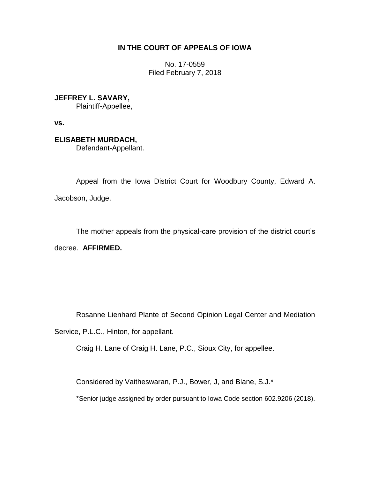## **IN THE COURT OF APPEALS OF IOWA**

No. 17-0559 Filed February 7, 2018

**JEFFREY L. SAVARY,**

Plaintiff-Appellee,

**vs.**

**ELISABETH MURDACH,** Defendant-Appellant. \_\_\_\_\_\_\_\_\_\_\_\_\_\_\_\_\_\_\_\_\_\_\_\_\_\_\_\_\_\_\_\_\_\_\_\_\_\_\_\_\_\_\_\_\_\_\_\_\_\_\_\_\_\_\_\_\_\_\_\_\_\_\_\_

Appeal from the Iowa District Court for Woodbury County, Edward A. Jacobson, Judge.

The mother appeals from the physical-care provision of the district court's decree. **AFFIRMED.**

Rosanne Lienhard Plante of Second Opinion Legal Center and Mediation

Service, P.L.C., Hinton, for appellant.

Craig H. Lane of Craig H. Lane, P.C., Sioux City, for appellee.

Considered by Vaitheswaran, P.J., Bower, J, and Blane, S.J.\*

\*Senior judge assigned by order pursuant to Iowa Code section 602.9206 (2018).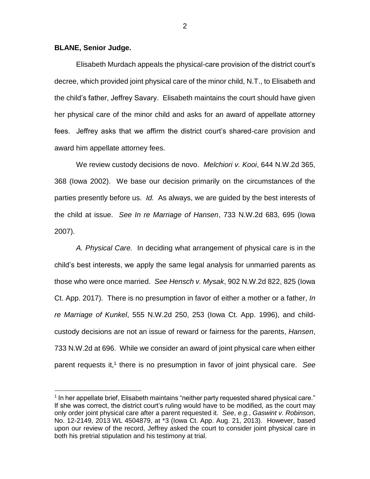## **BLANE, Senior Judge.**

 $\overline{a}$ 

Elisabeth Murdach appeals the physical-care provision of the district court's decree, which provided joint physical care of the minor child, N.T., to Elisabeth and the child's father, Jeffrey Savary. Elisabeth maintains the court should have given her physical care of the minor child and asks for an award of appellate attorney fees. Jeffrey asks that we affirm the district court's shared-care provision and award him appellate attorney fees.

We review custody decisions de novo. *Melchiori v. Kooi*, 644 N.W.2d 365, 368 (Iowa 2002). We base our decision primarily on the circumstances of the parties presently before us. *Id.* As always, we are guided by the best interests of the child at issue. *See In re Marriage of Hansen*, 733 N.W.2d 683, 695 (Iowa 2007).

*A. Physical Care.* In deciding what arrangement of physical care is in the child's best interests, we apply the same legal analysis for unmarried parents as those who were once married. *See Hensch v. Mysak*, 902 N.W.2d 822, 825 (Iowa Ct. App. 2017).There is no presumption in favor of either a mother or a father, *In re Marriage of Kunkel*, 555 N.W.2d 250, 253 (Iowa Ct. App. 1996), and childcustody decisions are not an issue of reward or fairness for the parents, *Hansen*, 733 N.W.2d at 696. While we consider an award of joint physical care when either parent requests it,<sup>1</sup> there is no presumption in favor of joint physical care. See

<sup>&</sup>lt;sup>1</sup> In her appellate brief, Elisabeth maintains "neither party requested shared physical care." If she was correct, the district court's ruling would have to be modified, as the court may only order joint physical care after a parent requested it. *See*, *e.g.*, *Gaswint v. Robinson*, No. 12-2149, 2013 WL 4504879, at \*3 (Iowa Ct. App. Aug. 21, 2013). However, based upon our review of the record, Jeffrey asked the court to consider joint physical care in both his pretrial stipulation and his testimony at trial.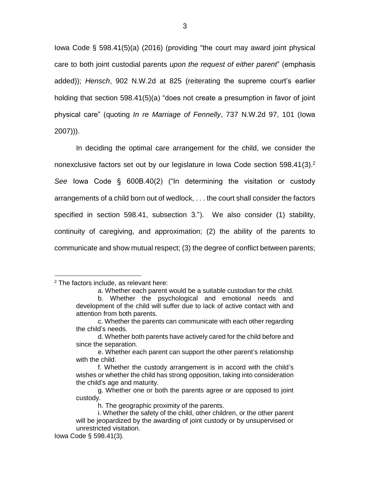Iowa Code § 598.41(5)(a) (2016) (providing "the court may award joint physical care to both joint custodial parents *upon the request of either parent*" (emphasis added)); *Hensch*, 902 N.W.2d at 825 (reiterating the supreme court's earlier holding that section 598.41(5)(a) "does not create a presumption in favor of joint physical care" (quoting *In re Marriage of Fennelly*, 737 N.W.2d 97, 101 (Iowa 2007))).

In deciding the optimal care arrangement for the child, we consider the nonexclusive factors set out by our legislature in Iowa Code section 598.41(3).<sup>2</sup> *See* Iowa Code § 600B.40(2) ("In determining the visitation or custody arrangements of a child born out of wedlock, . . . the court shall consider the factors specified in section 598.41, subsection 3."). We also consider (1) stability, continuity of caregiving, and approximation; (2) the ability of the parents to communicate and show mutual respect; (3) the degree of conflict between parents;

 $\overline{a}$ 

<sup>2</sup> The factors include, as relevant here:

a. Whether each parent would be a suitable custodian for the child.

b. Whether the psychological and emotional needs and development of the child will suffer due to lack of active contact with and attention from both parents.

c. Whether the parents can communicate with each other regarding the child's needs.

d. Whether both parents have actively cared for the child before and since the separation.

e. Whether each parent can support the other parent's relationship with the child.

f. Whether the custody arrangement is in accord with the child's wishes or whether the child has strong opposition, taking into consideration the child's age and maturity.

g. Whether one or both the parents agree or are opposed to joint custody.

h. The geographic proximity of the parents.

i. Whether the safety of the child, other children, or the other parent will be jeopardized by the awarding of joint custody or by unsupervised or unrestricted visitation.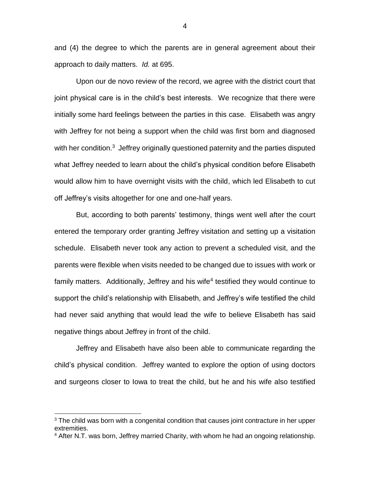and (4) the degree to which the parents are in general agreement about their approach to daily matters. *Id.* at 695.

Upon our de novo review of the record, we agree with the district court that joint physical care is in the child's best interests. We recognize that there were initially some hard feelings between the parties in this case. Elisabeth was angry with Jeffrey for not being a support when the child was first born and diagnosed with her condition.<sup>3</sup> Jeffrey originally questioned paternity and the parties disputed what Jeffrey needed to learn about the child's physical condition before Elisabeth would allow him to have overnight visits with the child, which led Elisabeth to cut off Jeffrey's visits altogether for one and one-half years.

But, according to both parents' testimony, things went well after the court entered the temporary order granting Jeffrey visitation and setting up a visitation schedule. Elisabeth never took any action to prevent a scheduled visit, and the parents were flexible when visits needed to be changed due to issues with work or family matters. Additionally, Jeffrey and his wife<sup>4</sup> testified they would continue to support the child's relationship with Elisabeth, and Jeffrey's wife testified the child had never said anything that would lead the wife to believe Elisabeth has said negative things about Jeffrey in front of the child.

Jeffrey and Elisabeth have also been able to communicate regarding the child's physical condition. Jeffrey wanted to explore the option of using doctors and surgeons closer to Iowa to treat the child, but he and his wife also testified

 $\overline{a}$ 

4

 $3$  The child was born with a congenital condition that causes joint contracture in her upper extremities.

<sup>&</sup>lt;sup>4</sup> After N.T. was born, Jeffrey married Charity, with whom he had an ongoing relationship.